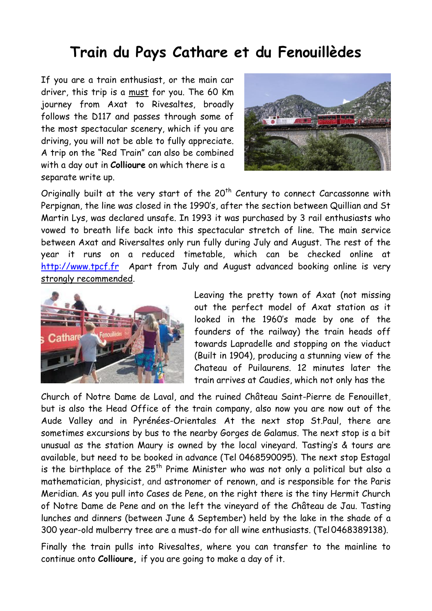## **Train du Pays Cathare et du Fenouillèdes**

If you are a train enthusiast, or the main car driver, this trip is a must for you. The 60 Km journey from Axat to Rivesaltes, broadly follows the D117 and passes through some of the most spectacular scenery, which if you are driving, you will not be able to fully appreciate. A trip on the "Red Train" can also be combined with a day out in **Collioure** on which there is a separate write up.



Originally built at the very start of the  $20<sup>th</sup>$  Century to connect Carcassonne with Perpignan, the line was closed in the 1990's, after the section between Quillian and St Martin Lys, was declared unsafe. In 1993 it was purchased by 3 rail enthusiasts who vowed to breath life back into this spectacular stretch of line. The main service between Axat and Riversaltes only run fully during July and August. The rest of the year it runs on a reduced timetable, which can be checked online at [http://www.tpcf.fr](http://www.tpcf.fr/) Apart from July and August advanced booking online is very strongly recommended.



Leaving the pretty town of Axat (not missing out the perfect model of Axat station as it looked in the 1960's made by one of the founders of the railway) the train heads off towards Lapradelle and stopping on the viaduct (Built in 1904), producing a stunning view of the Chateau of Puilaurens. 12 minutes later the train arrives at Caudies, which not only has the

Church of Notre Dame de Laval, and the ruined Château Saint-Pierre de Fenouillet, but is also the Head Office of the train company, also now you are now out of the Aude Valley and in Pyrénées-Orientales. At the next stop St.Paul, there are sometimes excursions by bus to the nearby Gorges de Galamus. The next stop is a bit unusual as the station Maury is owned by the local vineyard. Tasting's & tours are available, but need to be booked in advance (Tel 0468590095). The next stop Estagal is the birthplace of the  $25<sup>th</sup>$  Prime Minister who was not only a political but also a mathematician, physicist, and astronomer of renown, and is responsible for the Paris Meridian. As you pull into Cases de Pene, on the right there is the tiny Hermit Church of Notre Dame de Pene and on the left the vineyard of the Château de Jau. Tasting lunches and dinners (between June & September) held by the lake in the shade of a 300 year-old mulberry tree are a must-do for all wine enthusiasts. (Tel 0468389138).

Finally the train pulls into Rivesaltes, where you can transfer to the mainline to continue onto **Collioure,** if you are going to make a day of it.